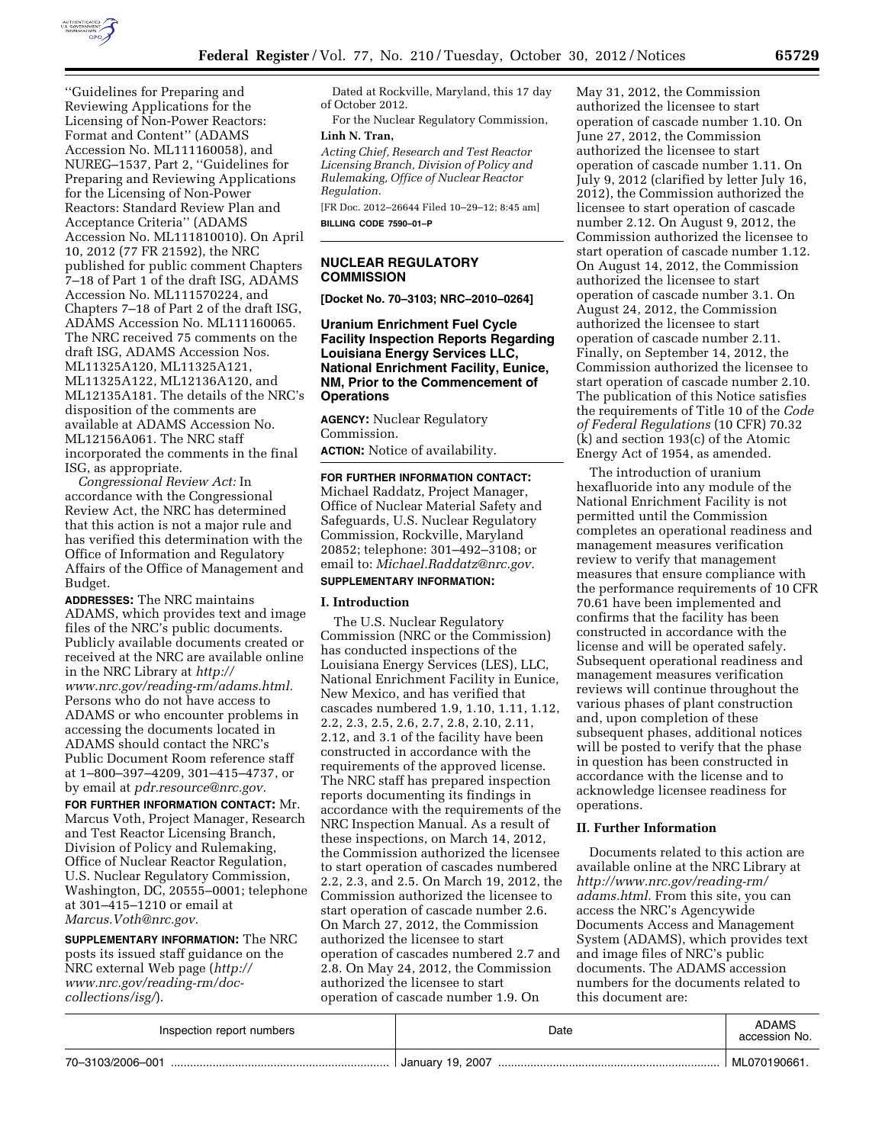

''Guidelines for Preparing and Reviewing Applications for the Licensing of Non-Power Reactors: Format and Content'' (ADAMS Accession No. ML111160058), and NUREG–1537, Part 2, ''Guidelines for Preparing and Reviewing Applications for the Licensing of Non-Power Reactors: Standard Review Plan and Acceptance Criteria'' (ADAMS Accession No. ML111810010). On April 10, 2012 (77 FR 21592), the NRC published for public comment Chapters 7–18 of Part 1 of the draft ISG, ADAMS Accession No. ML111570224, and Chapters 7–18 of Part 2 of the draft ISG, ADAMS Accession No. ML111160065. The NRC received 75 comments on the draft ISG, ADAMS Accession Nos. ML11325A120, ML11325A121, ML11325A122, ML12136A120, and ML12135A181. The details of the NRC's disposition of the comments are available at ADAMS Accession No. ML12156A061. The NRC staff incorporated the comments in the final ISG, as appropriate.

*Congressional Review Act:* In accordance with the Congressional Review Act, the NRC has determined that this action is not a major rule and has verified this determination with the Office of Information and Regulatory Affairs of the Office of Management and Budget.

**ADDRESSES:** The NRC maintains ADAMS, which provides text and image files of the NRC's public documents. Publicly available documents created or received at the NRC are available online in the NRC Library at *[http://](http://www.nrc.gov/reading-rm/adams.html)  [www.nrc.gov/reading-rm/adams.html.](http://www.nrc.gov/reading-rm/adams.html)*  Persons who do not have access to ADAMS or who encounter problems in accessing the documents located in ADAMS should contact the NRC's Public Document Room reference staff at 1–800–397–4209, 301–415–4737, or by email at *[pdr.resource@nrc.gov.](mailto:pdr.resource@nrc.gov)* 

**FOR FURTHER INFORMATION CONTACT:** Mr. Marcus Voth, Project Manager, Research and Test Reactor Licensing Branch, Division of Policy and Rulemaking, Office of Nuclear Reactor Regulation, U.S. Nuclear Regulatory Commission, Washington, DC, 20555–0001; telephone at 301–415–1210 or email at *[Marcus.Voth@nrc.gov.](mailto:Marcus.Voth@nrc.gov)* 

**SUPPLEMENTARY INFORMATION:** The NRC posts its issued staff guidance on the NRC external Web page (*[http://](http://www.nrc.gov/reading-rm/doc-collections/isg/) [www.nrc.gov/reading-rm/doc](http://www.nrc.gov/reading-rm/doc-collections/isg/)[collections/isg/](http://www.nrc.gov/reading-rm/doc-collections/isg/)*).

Dated at Rockville, Maryland, this 17 day of October 2012.

For the Nuclear Regulatory Commission, **Linh N. Tran,** 

*Acting Chief, Research and Test Reactor Licensing Branch, Division of Policy and Rulemaking, Office of Nuclear Reactor Regulation.* 

[FR Doc. 2012–26644 Filed 10–29–12; 8:45 am] **BILLING CODE 7590–01–P** 

## **NUCLEAR REGULATORY COMMISSION**

**[Docket No. 70–3103; NRC–2010–0264]** 

## **Uranium Enrichment Fuel Cycle Facility Inspection Reports Regarding Louisiana Energy Services LLC, National Enrichment Facility, Eunice, NM, Prior to the Commencement of Operations**

**AGENCY:** Nuclear Regulatory Commission. **ACTION:** Notice of availability.

**FOR FURTHER INFORMATION CONTACT:**  Michael Raddatz, Project Manager, Office of Nuclear Material Safety and Safeguards, U.S. Nuclear Regulatory Commission, Rockville, Maryland 20852; telephone: 301–492–3108; or email to: *[Michael.Raddatz@nrc.gov.](mailto:Michael.Raddatz@nrc.gov)*  **SUPPLEMENTARY INFORMATION:** 

#### **I. Introduction**

The U.S. Nuclear Regulatory Commission (NRC or the Commission) has conducted inspections of the Louisiana Energy Services (LES), LLC, National Enrichment Facility in Eunice, New Mexico, and has verified that cascades numbered 1.9, 1.10, 1.11, 1.12, 2.2, 2.3, 2.5, 2.6, 2.7, 2.8, 2.10, 2.11, 2.12, and 3.1 of the facility have been constructed in accordance with the requirements of the approved license. The NRC staff has prepared inspection reports documenting its findings in accordance with the requirements of the NRC Inspection Manual. As a result of these inspections, on March 14, 2012, the Commission authorized the licensee to start operation of cascades numbered 2.2, 2.3, and 2.5. On March 19, 2012, the Commission authorized the licensee to start operation of cascade number 2.6. On March 27, 2012, the Commission authorized the licensee to start operation of cascades numbered 2.7 and 2.8. On May 24, 2012, the Commission authorized the licensee to start operation of cascade number 1.9. On

May 31, 2012, the Commission authorized the licensee to start operation of cascade number 1.10. On June 27, 2012, the Commission authorized the licensee to start operation of cascade number 1.11. On July 9, 2012 (clarified by letter July 16, 2012), the Commission authorized the licensee to start operation of cascade number 2.12. On August 9, 2012, the Commission authorized the licensee to start operation of cascade number 1.12. On August 14, 2012, the Commission authorized the licensee to start operation of cascade number 3.1. On August 24, 2012, the Commission authorized the licensee to start operation of cascade number 2.11. Finally, on September 14, 2012, the Commission authorized the licensee to start operation of cascade number 2.10. The publication of this Notice satisfies the requirements of Title 10 of the *Code of Federal Regulations* (10 CFR) 70.32 (k) and section 193(c) of the Atomic Energy Act of 1954, as amended.

The introduction of uranium hexafluoride into any module of the National Enrichment Facility is not permitted until the Commission completes an operational readiness and management measures verification review to verify that management measures that ensure compliance with the performance requirements of 10 CFR 70.61 have been implemented and confirms that the facility has been constructed in accordance with the license and will be operated safely. Subsequent operational readiness and management measures verification reviews will continue throughout the various phases of plant construction and, upon completion of these subsequent phases, additional notices will be posted to verify that the phase in question has been constructed in accordance with the license and to acknowledge licensee readiness for operations.

## **II. Further Information**

Documents related to this action are available online at the NRC Library at *[http://www.nrc.gov/reading-rm/](http://www.nrc.gov/reading-rm/adams.html)  [adams.html.](http://www.nrc.gov/reading-rm/adams.html)* From this site, you can access the NRC's Agencywide Documents Access and Management System (ADAMS), which provides text and image files of NRC's public documents. The ADAMS accession numbers for the documents related to this document are:

| Inspection report numbers | Date             | <b>ADAMS</b><br>accession No. |
|---------------------------|------------------|-------------------------------|
| 70-3103/2006-001          | January 19, 2007 | ML070190661.                  |